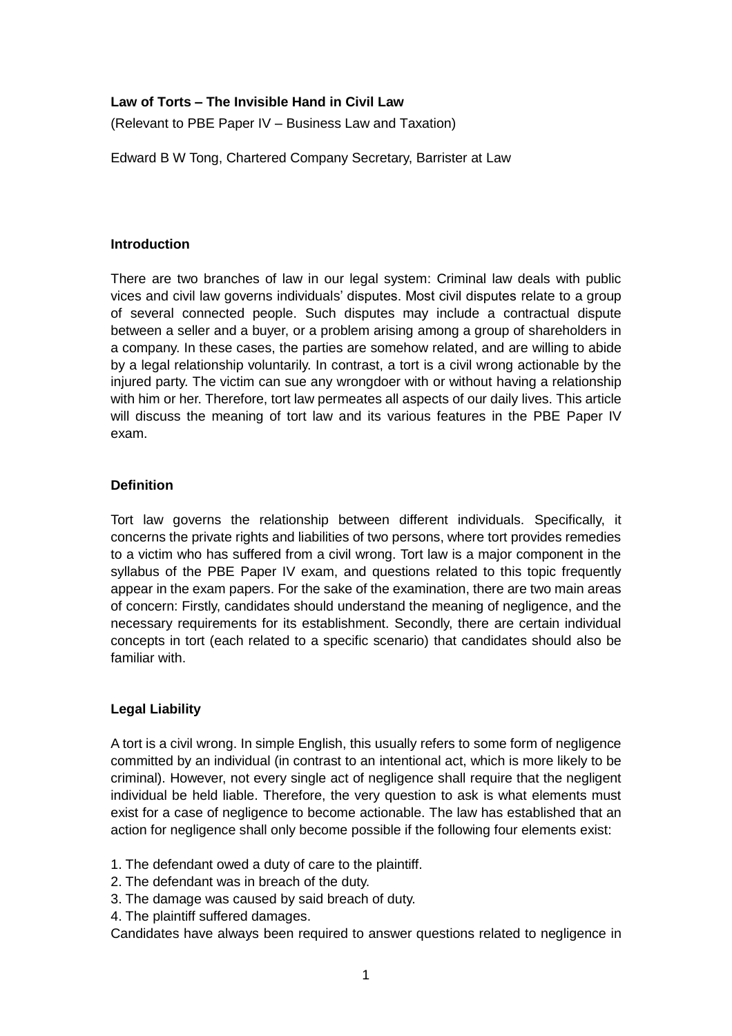### **Law of Torts – The Invisible Hand in Civil Law**

(Relevant to PBE Paper IV – Business Law and Taxation)

Edward B W Tong, Chartered Company Secretary, Barrister at Law

### **Introduction**

There are two branches of law in our legal system: Criminal law deals with public vices and civil law governs individuals' disputes. Most civil disputes relate to a group of several connected people. Such disputes may include a contractual dispute between a seller and a buyer, or a problem arising among a group of shareholders in a company. In these cases, the parties are somehow related, and are willing to abide by a legal relationship voluntarily. In contrast, a tort is a civil wrong actionable by the injured party. The victim can sue any wrongdoer with or without having a relationship with him or her. Therefore, tort law permeates all aspects of our daily lives. This article will discuss the meaning of tort law and its various features in the PBE Paper IV exam.

# **Definition**

Tort law governs the relationship between different individuals. Specifically, it concerns the private rights and liabilities of two persons, where tort provides remedies to a victim who has suffered from a civil wrong. Tort law is a major component in the syllabus of the PBE Paper IV exam, and questions related to this topic frequently appear in the exam papers. For the sake of the examination, there are two main areas of concern: Firstly, candidates should understand the meaning of negligence, and the necessary requirements for its establishment. Secondly, there are certain individual concepts in tort (each related to a specific scenario) that candidates should also be familiar with.

# **Legal Liability**

A tort is a civil wrong. In simple English, this usually refers to some form of negligence committed by an individual (in contrast to an intentional act, which is more likely to be criminal). However, not every single act of negligence shall require that the negligent individual be held liable. Therefore, the very question to ask is what elements must exist for a case of negligence to become actionable. The law has established that an action for negligence shall only become possible if the following four elements exist:

- 1. The defendant owed a duty of care to the plaintiff.
- 2. The defendant was in breach of the duty.
- 3. The damage was caused by said breach of duty.
- 4. The plaintiff suffered damages.

Candidates have always been required to answer questions related to negligence in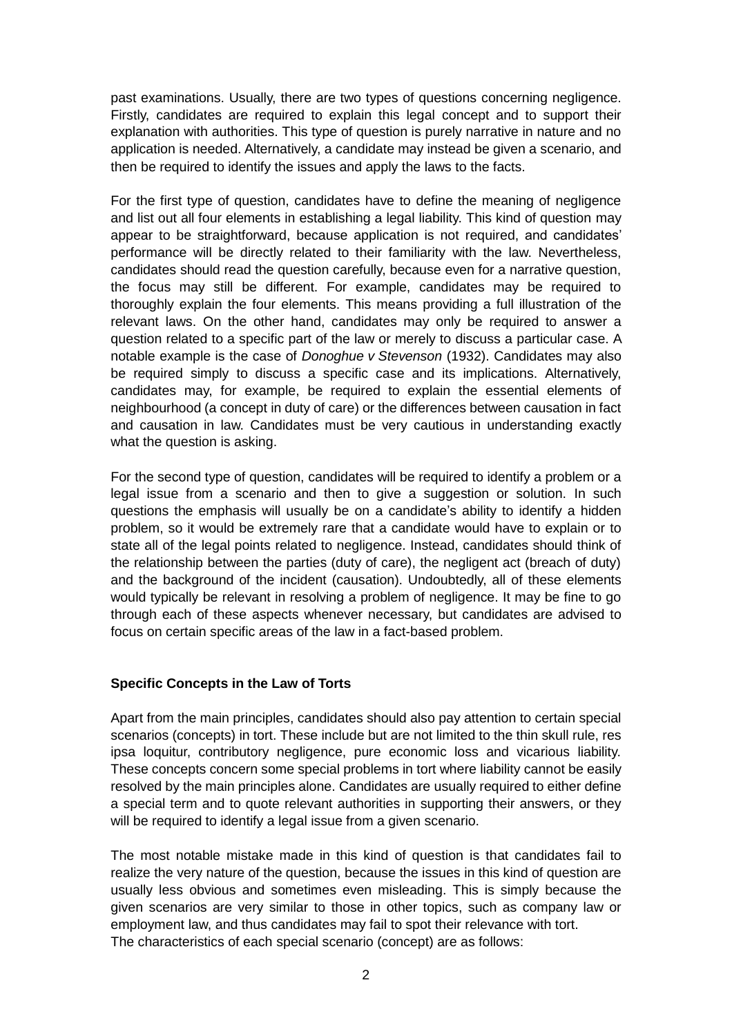past examinations. Usually, there are two types of questions concerning negligence. Firstly, candidates are required to explain this legal concept and to support their explanation with authorities. This type of question is purely narrative in nature and no application is needed. Alternatively, a candidate may instead be given a scenario, and then be required to identify the issues and apply the laws to the facts.

For the first type of question, candidates have to define the meaning of negligence and list out all four elements in establishing a legal liability. This kind of question may appear to be straightforward, because application is not required, and candidates' performance will be directly related to their familiarity with the law. Nevertheless, candidates should read the question carefully, because even for a narrative question, the focus may still be different. For example, candidates may be required to thoroughly explain the four elements. This means providing a full illustration of the relevant laws. On the other hand, candidates may only be required to answer a question related to a specific part of the law or merely to discuss a particular case. A notable example is the case of *Donoghue v Stevenson* (1932). Candidates may also be required simply to discuss a specific case and its implications. Alternatively, candidates may, for example, be required to explain the essential elements of neighbourhood (a concept in duty of care) or the differences between causation in fact and causation in law. Candidates must be very cautious in understanding exactly what the question is asking.

For the second type of question, candidates will be required to identify a problem or a legal issue from a scenario and then to give a suggestion or solution. In such questions the emphasis will usually be on a candidate's ability to identify a hidden problem, so it would be extremely rare that a candidate would have to explain or to state all of the legal points related to negligence. Instead, candidates should think of the relationship between the parties (duty of care), the negligent act (breach of duty) and the background of the incident (causation). Undoubtedly, all of these elements would typically be relevant in resolving a problem of negligence. It may be fine to go through each of these aspects whenever necessary, but candidates are advised to focus on certain specific areas of the law in a fact-based problem.

#### **Specific Concepts in the Law of Torts**

Apart from the main principles, candidates should also pay attention to certain special scenarios (concepts) in tort. These include but are not limited to the thin skull rule, res ipsa loquitur, contributory negligence, pure economic loss and vicarious liability. These concepts concern some special problems in tort where liability cannot be easily resolved by the main principles alone. Candidates are usually required to either define a special term and to quote relevant authorities in supporting their answers, or they will be required to identify a legal issue from a given scenario.

The most notable mistake made in this kind of question is that candidates fail to realize the very nature of the question, because the issues in this kind of question are usually less obvious and sometimes even misleading. This is simply because the given scenarios are very similar to those in other topics, such as company law or employment law, and thus candidates may fail to spot their relevance with tort. The characteristics of each special scenario (concept) are as follows: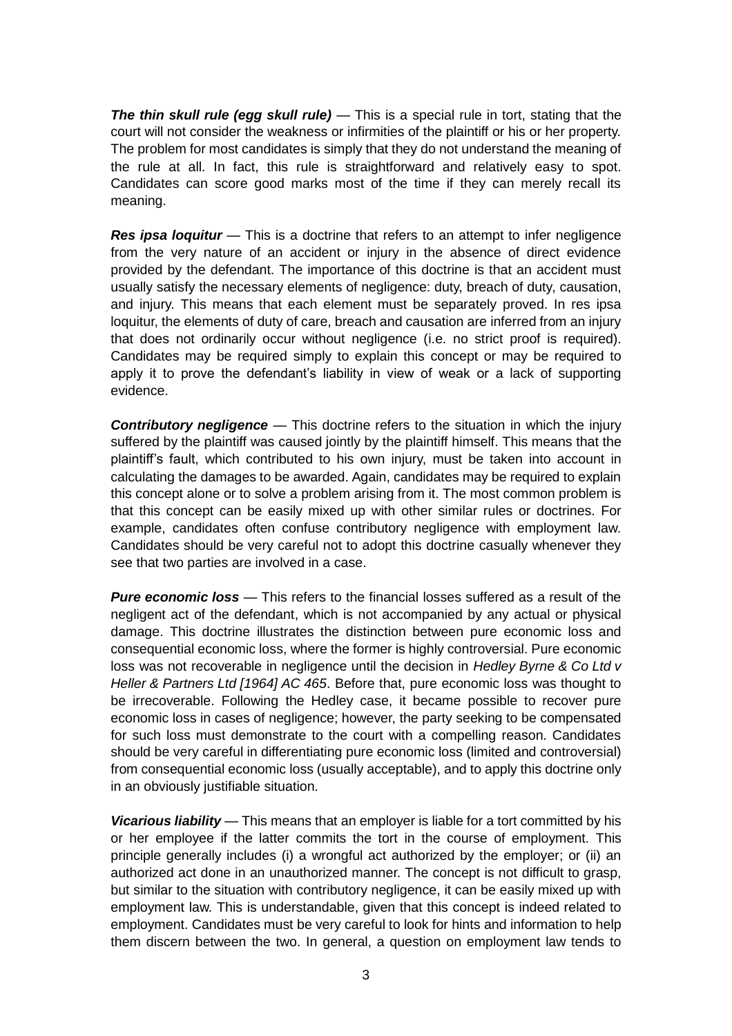*The thin skull rule (egg skull rule)* — This is a special rule in tort, stating that the court will not consider the weakness or infirmities of the plaintiff or his or her property. The problem for most candidates is simply that they do not understand the meaning of the rule at all. In fact, this rule is straightforward and relatively easy to spot. Candidates can score good marks most of the time if they can merely recall its meaning.

**Res ipsa loquitur** — This is a doctrine that refers to an attempt to infer negligence from the very nature of an accident or injury in the absence of direct evidence provided by the defendant. The importance of this doctrine is that an accident must usually satisfy the necessary elements of negligence: duty, breach of duty, causation, and injury. This means that each element must be separately proved. In res ipsa loquitur, the elements of duty of care, breach and causation are inferred from an injury that does not ordinarily occur without negligence (i.e. no strict proof is required). Candidates may be required simply to explain this concept or may be required to apply it to prove the defendant's liability in view of weak or a lack of supporting evidence.

*Contributory negligence* — This doctrine refers to the situation in which the injury suffered by the plaintiff was caused jointly by the plaintiff himself. This means that the plaintiff's fault, which contributed to his own injury, must be taken into account in calculating the damages to be awarded. Again, candidates may be required to explain this concept alone or to solve a problem arising from it. The most common problem is that this concept can be easily mixed up with other similar rules or doctrines. For example, candidates often confuse contributory negligence with employment law. Candidates should be very careful not to adopt this doctrine casually whenever they see that two parties are involved in a case.

*Pure economic loss* — This refers to the financial losses suffered as a result of the negligent act of the defendant, which is not accompanied by any actual or physical damage. This doctrine illustrates the distinction between pure economic loss and consequential economic loss, where the former is highly controversial. Pure economic loss was not recoverable in negligence until the decision in *Hedley Byrne & Co Ltd v Heller & Partners Ltd [1964] AC 465*. Before that, pure economic loss was thought to be irrecoverable. Following the Hedley case, it became possible to recover pure economic loss in cases of negligence; however, the party seeking to be compensated for such loss must demonstrate to the court with a compelling reason. Candidates should be very careful in differentiating pure economic loss (limited and controversial) from consequential economic loss (usually acceptable), and to apply this doctrine only in an obviously justifiable situation.

*Vicarious liability* — This means that an employer is liable for a tort committed by his or her employee if the latter commits the tort in the course of employment. This principle generally includes (i) a wrongful act authorized by the employer; or (ii) an authorized act done in an unauthorized manner. The concept is not difficult to grasp, but similar to the situation with contributory negligence, it can be easily mixed up with employment law. This is understandable, given that this concept is indeed related to employment. Candidates must be very careful to look for hints and information to help them discern between the two. In general, a question on employment law tends to